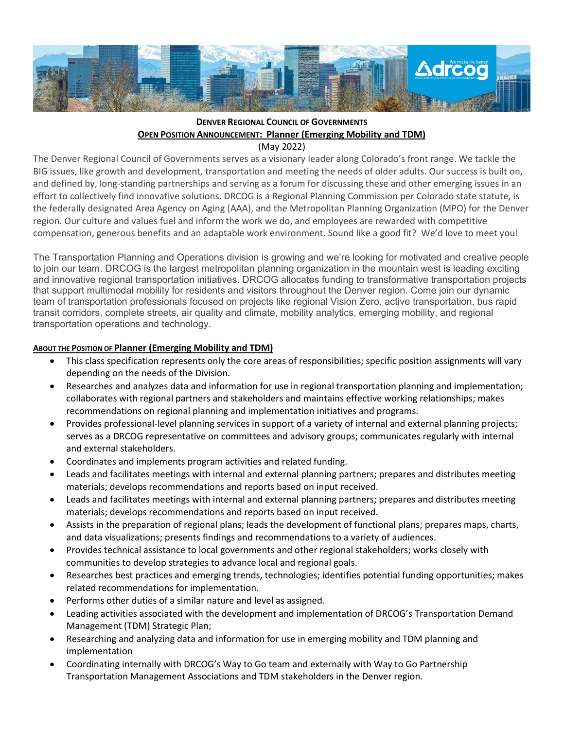

# **DENVER REGIONAL COUNCIL OF GOVERNMENTS OPEN POSITION ANNOUNCEMENT: Planner (Emerging Mobility and TDM)**

(May 2022)

The Denver Regional Council of Governments serves as a visionary leader along Colorado's front range. We tackle the BIG issues, like growth and development, transportation and meeting the needs of older adults. Our success is built on, and defined by, long-standing partnerships and serving as a forum for discussing these and other emerging issues in an effort to collectively find innovative solutions. DRCOG is a Regional Planning Commission per Colorado state statute, is the federally designated Area Agency on Aging (AAA), and the Metropolitan Planning Organization (MPO) for the Denver region. Our culture and values fuel and inform the work we do, and employees are rewarded with competitive compensation, generous benefits and an adaptable work environment. Sound like a good fit? We'd love to meet you!

The Transportation Planning and Operations division is growing and we're looking for motivated and creative people to join our team. DRCOG is the largest metropolitan planning organization in the mountain west is leading exciting and innovative regional transportation initiatives. DRCOG allocates funding to transformative transportation projects that support multimodal mobility for residents and visitors throughout the Denver region. Come join our dynamic team of transportation professionals focused on projects like regional Vision Zero, active transportation, bus rapid transit corridors, complete streets, air quality and climate, mobility analytics, emerging mobility, and regional transportation operations and technology.

## **ABOUT THE POSITION OF Planner (Emerging Mobility and TDM)**

- This class specification represents only the core areas of responsibilities; specific position assignments will vary depending on the needs of the Division.
- Researches and analyzes data and information for use in regional transportation planning and implementation; collaborates with regional partners and stakeholders and maintains effective working relationships; makes recommendations on regional planning and implementation initiatives and programs.
- Provides professional-level planning services in support of a variety of internal and external planning projects; serves as a DRCOG representative on committees and advisory groups; communicates regularly with internal and external stakeholders.
- Coordinates and implements program activities and related funding.
- Leads and facilitates meetings with internal and external planning partners; prepares and distributes meeting materials; develops recommendations and reports based on input received.
- Leads and facilitates meetings with internal and external planning partners; prepares and distributes meeting materials; develops recommendations and reports based on input received.
- Assists in the preparation of regional plans; leads the development of functional plans; prepares maps, charts, and data visualizations; presents findings and recommendations to a variety of audiences.
- Provides technical assistance to local governments and other regional stakeholders; works closely with communities to develop strategies to advance local and regional goals.
- Researches best practices and emerging trends, technologies; identifies potential funding opportunities; makes related recommendations for implementation.
- Performs other duties of a similar nature and level as assigned.
- Leading activities associated with the development and implementation of DRCOG's Transportation Demand Management (TDM) Strategic Plan;
- Researching and analyzing data and information for use in emerging mobility and TDM planning and implementation
- Coordinating internally with DRCOG's Way to Go team and externally with Way to Go Partnership Transportation Management Associations and TDM stakeholders in the Denver region.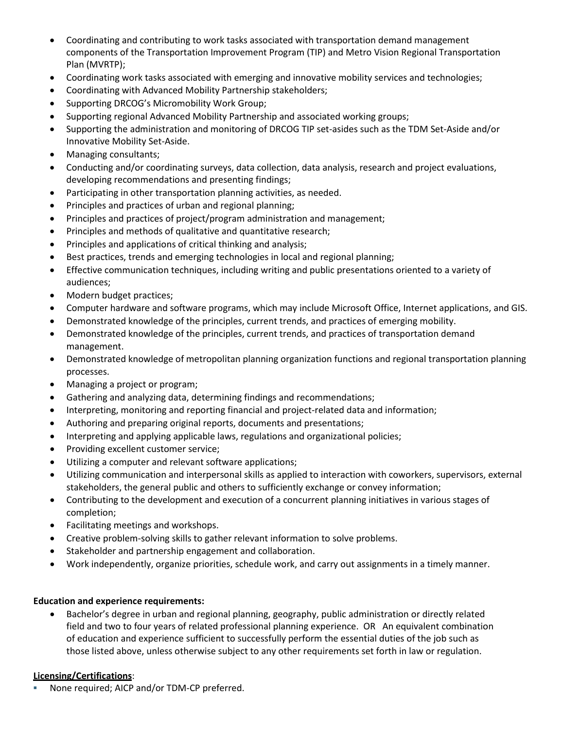- Coordinating and contributing to work tasks associated with transportation demand management components of the Transportation Improvement Program (TIP) and Metro Vision Regional Transportation Plan (MVRTP);
- Coordinating work tasks associated with emerging and innovative mobility services and technologies;
- Coordinating with Advanced Mobility Partnership stakeholders;
- Supporting DRCOG's Micromobility Work Group;
- Supporting regional Advanced Mobility Partnership and associated working groups;
- Supporting the administration and monitoring of DRCOG TIP set-asides such as the TDM Set-Aside and/or Innovative Mobility Set-Aside.
- Managing consultants;
- Conducting and/or coordinating surveys, data collection, data analysis, research and project evaluations, developing recommendations and presenting findings;
- Participating in other transportation planning activities, as needed.
- Principles and practices of urban and regional planning;
- Principles and practices of project/program administration and management;
- Principles and methods of qualitative and quantitative research;
- Principles and applications of critical thinking and analysis;
- Best practices, trends and emerging technologies in local and regional planning;
- Effective communication techniques, including writing and public presentations oriented to a variety of audiences;
- Modern budget practices;
- Computer hardware and software programs, which may include Microsoft Office, Internet applications, and GIS.
- Demonstrated knowledge of the principles, current trends, and practices of emerging mobility.
- Demonstrated knowledge of the principles, current trends, and practices of transportation demand management.
- Demonstrated knowledge of metropolitan planning organization functions and regional transportation planning processes.
- Managing a project or program;
- Gathering and analyzing data, determining findings and recommendations;
- Interpreting, monitoring and reporting financial and project-related data and information;
- Authoring and preparing original reports, documents and presentations;
- Interpreting and applying applicable laws, regulations and organizational policies;
- Providing excellent customer service;
- Utilizing a computer and relevant software applications;
- Utilizing communication and interpersonal skills as applied to interaction with coworkers, supervisors, external stakeholders, the general public and others to sufficiently exchange or convey information;
- Contributing to the development and execution of a concurrent planning initiatives in various stages of completion;
- Facilitating meetings and workshops.
- Creative problem-solving skills to gather relevant information to solve problems.
- Stakeholder and partnership engagement and collaboration.
- Work independently, organize priorities, schedule work, and carry out assignments in a timely manner.

## **Education and experience requirements:**

• Bachelor's degree in urban and regional planning, geography, public administration or directly related field and two to four years of related professional planning experience. OR An equivalent combination of education and experience sufficient to successfully perform the essential duties of the job such as those listed above, unless otherwise subject to any other requirements set forth in law or regulation.

## **Licensing/Certifications**:

None required; AICP and/or TDM-CP preferred.